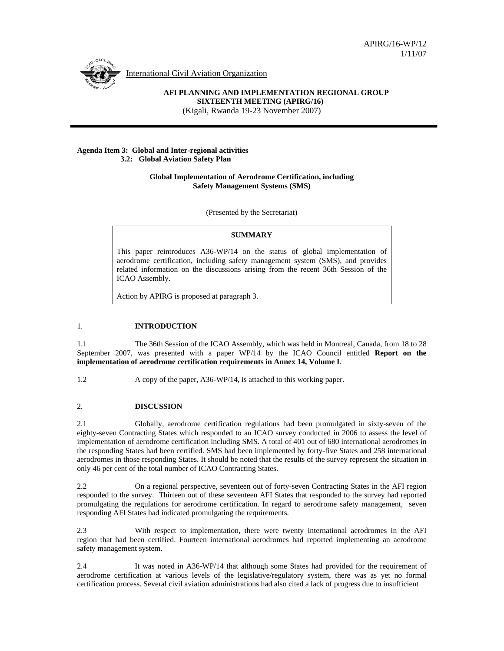

International Civil Aviation Organization

# **AFI PLANNING AND IMPLEMENTATION REGIONAL GROUP SIXTEENTH MEETING (APIRG/16)**

(Kigali, Rwanda 19-23 November 2007)

#### **Agenda Item 3: Global and Inter-regional activities 3.2: Global Aviation Safety Plan**

### **Global Implementation of Aerodrome Certification, including Safety Management Systems (SMS)**

(Presented by the Secretariat)

## **SUMMARY**

This paper reintroduces A36-WP/14 on the status of global implementation of aerodrome certification, including safety management system (SMS), and provides related information on the discussions arising from the recent 36th Session of the ICAO Assembly.

Action by APIRG is proposed at paragraph 3.

## 1. **INTRODUCTION**

1.1 The 36th Session of the ICAO Assembly, which was held in Montreal, Canada, from 18 to 28 September 2007, was presented with a paper WP/14 by the ICAO Council entitled **Report on the implementation of aerodrome certification requirements in Annex 14, Volume I**.

1.2 A copy of the paper, A36-WP/14, is attached to this working paper.

## 2. **DISCUSSION**

2.1 Globally, aerodrome certification regulations had been promulgated in sixty-seven of the eighty-seven Contracting States which responded to an ICAO survey conducted in 2006 to assess the level of implementation of aerodrome certification including SMS. A total of 401 out of 680 international aerodromes in the responding States had been certified. SMS had been implemented by forty-five States and 258 international aerodromes in those responding States. It should be noted that the results of the survey represent the situation in only 46 per cent of the total number of ICAO Contracting States.

2.2 On a regional perspective, seventeen out of forty-seven Contracting States in the AFI region responded to the survey. Thirteen out of these seventeen AFI States that responded to the survey had reported promulgating the regulations for aerodrome certification. In regard to aerodrome safety management, seven responding AFI States had indicated promulgating the requirements.

2.3 With respect to implementation, there were twenty international aerodromes in the AFI region that had been certified. Fourteen international aerodromes had reported implementing an aerodrome safety management system.

2.4 It was noted in A36-WP/14 that although some States had provided for the requirement of aerodrome certification at various levels of the legislative/regulatory system, there was as yet no formal certification process. Several civil aviation administrations had also cited a lack of progress due to insufficient